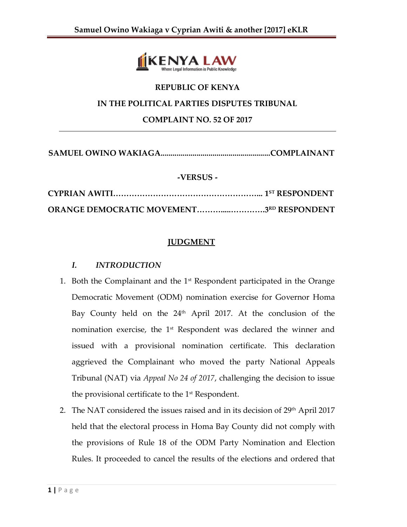

# **REPUBLIC OF KENYA IN THE POLITICAL PARTIES DISPUTES TRIBUNAL COMPLAINT NO. 52 OF 2017**

**SAMUEL OWINO WAKIAGA.......................................................COMPLAINANT**

#### **-VERSUS -**

| <b>ORANGE DEMOCRATIC MOVEMENT3RD RESPONDENT</b> |  |
|-------------------------------------------------|--|

# **JUDGMENT**

### *I. INTRODUCTION*

- 1. Both the Complainant and the  $1<sup>st</sup>$  Respondent participated in the Orange Democratic Movement (ODM) nomination exercise for Governor Homa Bay County held on the 24<sup>th</sup> April 2017. At the conclusion of the nomination exercise, the 1<sup>st</sup> Respondent was declared the winner and issued with a provisional nomination certificate. This declaration aggrieved the Complainant who moved the party National Appeals Tribunal (NAT) via *Appeal No 24 of 2017*, challenging the decision to issue the provisional certificate to the 1st Respondent.
- 2. The NAT considered the issues raised and in its decision of  $29<sup>th</sup>$  April 2017 held that the electoral process in Homa Bay County did not comply with the provisions of Rule 18 of the ODM Party Nomination and Election Rules. It proceeded to cancel the results of the elections and ordered that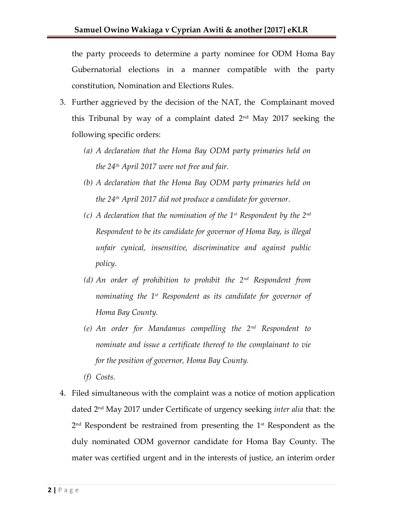the party proceeds to determine a party nominee for ODM Homa Bay Gubernatorial elections in a manner compatible with the party constitution, Nomination and Elections Rules.

- 3. Further aggrieved by the decision of the NAT, the Complainant moved this Tribunal by way of a complaint dated 2nd May 2017 seeking the following specific orders:
	- *(a) A declaration that the Homa Bay ODM party primaries held on the 24th April 2017 were not free and fair.*
	- *(b) A declaration that the Homa Bay ODM party primaries held on the 24th April 2017 did not produce a candidate for governor.*
	- *(c) A declaration that the nomination of the 1st Respondent by the 2nd Respondent to be its candidate for governor of Homa Bay, is illegal unfair cynical, insensitive, discriminative and against public policy.*
	- *(d) An order of prohibition to prohibit the 2nd Respondent from nominating the 1st Respondent as its candidate for governor of Homa Bay County.*
	- *(e) An order for Mandamus compelling the 2nd Respondent to nominate and issue a certificate thereof to the complainant to vie for the position of governor, Homa Bay County.*
	- *(f) Costs.*
- 4. Filed simultaneous with the complaint was a notice of motion application dated 2nd May 2017 under Certificate of urgency seeking *inter alia* that: the 2<sup>nd</sup> Respondent be restrained from presenting the 1<sup>st</sup> Respondent as the duly nominated ODM governor candidate for Homa Bay County. The mater was certified urgent and in the interests of justice, an interim order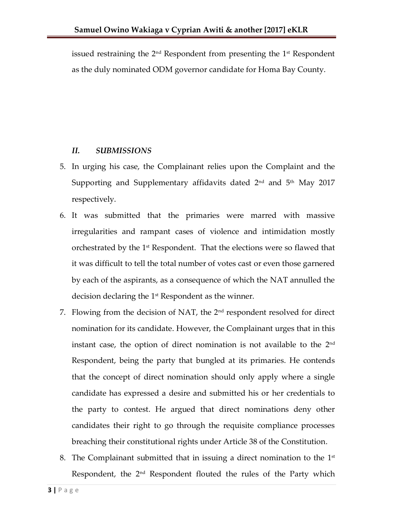issued restraining the 2<sup>nd</sup> Respondent from presenting the 1st Respondent as the duly nominated ODM governor candidate for Homa Bay County.

#### *II. SUBMISSIONS*

- 5. In urging his case, the Complainant relies upon the Complaint and the Supporting and Supplementary affidavits dated  $2<sup>nd</sup>$  and  $5<sup>th</sup>$  May 2017 respectively.
- 6. It was submitted that the primaries were marred with massive irregularities and rampant cases of violence and intimidation mostly orchestrated by the 1<sup>st</sup> Respondent. That the elections were so flawed that it was difficult to tell the total number of votes cast or even those garnered by each of the aspirants, as a consequence of which the NAT annulled the decision declaring the 1st Respondent as the winner.
- 7. Flowing from the decision of NAT, the  $2<sup>nd</sup>$  respondent resolved for direct nomination for its candidate. However, the Complainant urges that in this instant case, the option of direct nomination is not available to the  $2^{\rm nd}$ Respondent, being the party that bungled at its primaries. He contends that the concept of direct nomination should only apply where a single candidate has expressed a desire and submitted his or her credentials to the party to contest. He argued that direct nominations deny other candidates their right to go through the requisite compliance processes breaching their constitutional rights under Article 38 of the Constitution.
- 8. The Complainant submitted that in issuing a direct nomination to the  $1^\text{st}$ Respondent, the 2<sup>nd</sup> Respondent flouted the rules of the Party which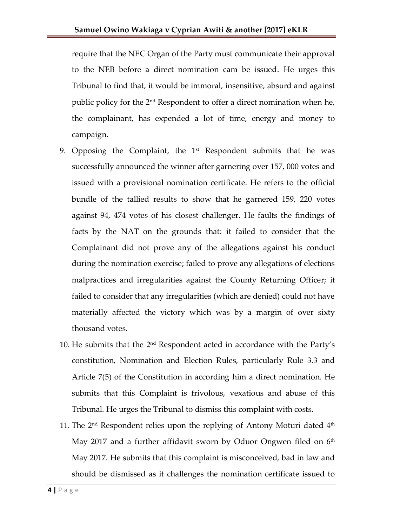require that the NEC Organ of the Party must communicate their approval to the NEB before a direct nomination cam be issued. He urges this Tribunal to find that, it would be immoral, insensitive, absurd and against public policy for the 2nd Respondent to offer a direct nomination when he, the complainant, has expended a lot of time, energy and money to campaign.

- 9. Opposing the Complaint, the  $1<sup>st</sup>$  Respondent submits that he was successfully announced the winner after garnering over 157, 000 votes and issued with a provisional nomination certificate. He refers to the official bundle of the tallied results to show that he garnered 159, 220 votes against 94, 474 votes of his closest challenger. He faults the findings of facts by the NAT on the grounds that: it failed to consider that the Complainant did not prove any of the allegations against his conduct during the nomination exercise; failed to prove any allegations of elections malpractices and irregularities against the County Returning Officer; it failed to consider that any irregularities (which are denied) could not have materially affected the victory which was by a margin of over sixty thousand votes.
- 10. He submits that the 2nd Respondent acted in accordance with the Party's constitution, Nomination and Election Rules, particularly Rule 3.3 and Article 7(5) of the Constitution in according him a direct nomination. He submits that this Complaint is frivolous, vexatious and abuse of this Tribunal. He urges the Tribunal to dismiss this complaint with costs.
- 11. The  $2<sup>nd</sup>$  Respondent relies upon the replying of Antony Moturi dated  $4<sup>th</sup>$ May 2017 and a further affidavit sworn by Oduor Ongwen filed on  $6<sup>th</sup>$ May 2017. He submits that this complaint is misconceived, bad in law and should be dismissed as it challenges the nomination certificate issued to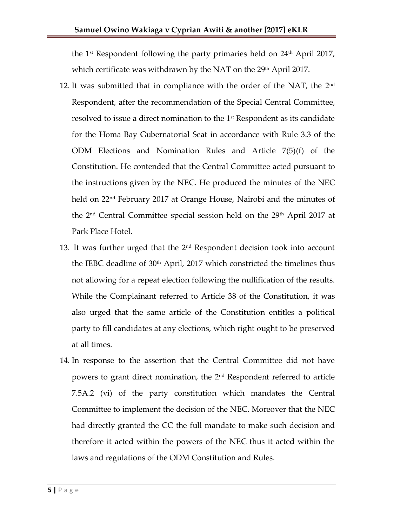the 1<sup>st</sup> Respondent following the party primaries held on  $24<sup>th</sup>$  April 2017, which certificate was withdrawn by the NAT on the  $29<sup>th</sup>$  April 2017.

- 12. It was submitted that in compliance with the order of the NAT, the  $2^{\text{nd}}$ Respondent, after the recommendation of the Special Central Committee, resolved to issue a direct nomination to the  $1<sup>st</sup>$  Respondent as its candidate for the Homa Bay Gubernatorial Seat in accordance with Rule 3.3 of the ODM Elections and Nomination Rules and Article 7(5)(f) of the Constitution. He contended that the Central Committee acted pursuant to the instructions given by the NEC. He produced the minutes of the NEC held on 22<sup>nd</sup> February 2017 at Orange House, Nairobi and the minutes of the 2nd Central Committee special session held on the 29th April 2017 at Park Place Hotel.
- 13. It was further urged that the  $2<sup>nd</sup>$  Respondent decision took into account the IEBC deadline of  $30<sup>th</sup>$  April, 2017 which constricted the timelines thus not allowing for a repeat election following the nullification of the results. While the Complainant referred to Article 38 of the Constitution, it was also urged that the same article of the Constitution entitles a political party to fill candidates at any elections, which right ought to be preserved at all times.
- 14. In response to the assertion that the Central Committee did not have powers to grant direct nomination, the 2<sup>nd</sup> Respondent referred to article 7.5A.2 (vi) of the party constitution which mandates the Central Committee to implement the decision of the NEC. Moreover that the NEC had directly granted the CC the full mandate to make such decision and therefore it acted within the powers of the NEC thus it acted within the laws and regulations of the ODM Constitution and Rules.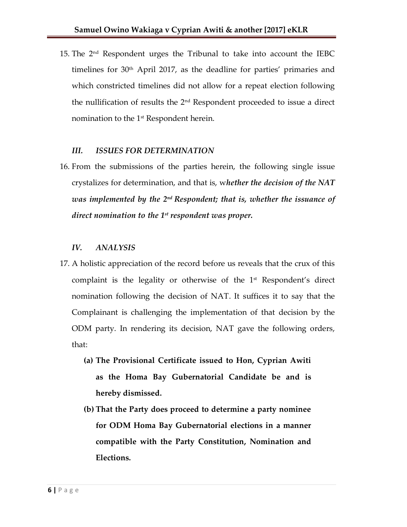15. The 2nd Respondent urges the Tribunal to take into account the IEBC timelines for  $30<sup>th</sup>$  April 2017, as the deadline for parties' primaries and which constricted timelines did not allow for a repeat election following the nullification of results the  $2<sup>nd</sup>$  Respondent proceeded to issue a direct nomination to the 1<sup>st</sup> Respondent herein.

#### *III. ISSUES FOR DETERMINATION*

16. From the submissions of the parties herein, the following single issue crystalizes for determination, and that is, w*hether the decision of the NAT*  was implemented by the 2nd Respondent; that is, whether the issuance of *direct nomination to the 1st respondent was proper.*

#### *IV. ANALYSIS*

- 17. A holistic appreciation of the record before us reveals that the crux of this complaint is the legality or otherwise of the  $1<sup>st</sup>$  Respondent's direct nomination following the decision of NAT. It suffices it to say that the Complainant is challenging the implementation of that decision by the ODM party. In rendering its decision, NAT gave the following orders, that:
	- **(a) The Provisional Certificate issued to Hon, Cyprian Awiti as the Homa Bay Gubernatorial Candidate be and is hereby dismissed.**
	- **(b) That the Party does proceed to determine a party nominee for ODM Homa Bay Gubernatorial elections in a manner compatible with the Party Constitution, Nomination and Elections.**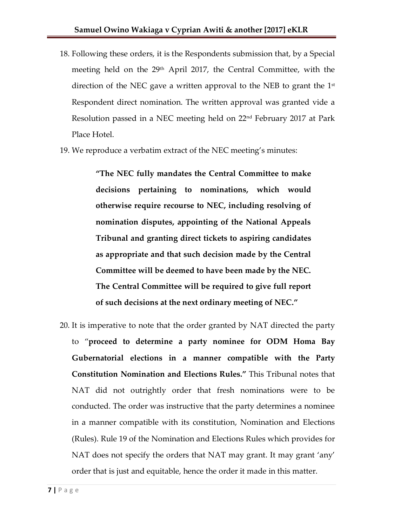- 18. Following these orders, it is the Respondents submission that, by a Special meeting held on the 29<sup>th</sup> April 2017, the Central Committee, with the direction of the NEC gave a written approval to the NEB to grant the  $1<sup>st</sup>$ Respondent direct nomination. The written approval was granted vide a Resolution passed in a NEC meeting held on 22nd February 2017 at Park Place Hotel.
- 19. We reproduce a verbatim extract of the NEC meeting's minutes:

**"The NEC fully mandates the Central Committee to make decisions pertaining to nominations, which would otherwise require recourse to NEC, including resolving of nomination disputes, appointing of the National Appeals Tribunal and granting direct tickets to aspiring candidates as appropriate and that such decision made by the Central Committee will be deemed to have been made by the NEC. The Central Committee will be required to give full report of such decisions at the next ordinary meeting of NEC."**

20. It is imperative to note that the order granted by NAT directed the party to '**proceed to determine a party nominee for ODM Homa Bay Gubernatorial elections in a manner compatible with the Party Constitution Nomination and Elections Rules."** This Tribunal notes that NAT did not outrightly order that fresh nominations were to be conducted. The order was instructive that the party determines a nominee in a manner compatible with its constitution, Nomination and Elections (Rules). Rule 19 of the Nomination and Elections Rules which provides for NAT does not specify the orders that NAT may grant. It may grant 'any' order that is just and equitable, hence the order it made in this matter.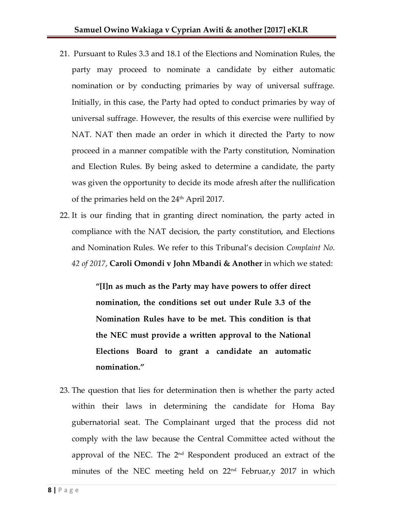- 21. Pursuant to Rules 3.3 and 18.1 of the Elections and Nomination Rules, the party may proceed to nominate a candidate by either automatic nomination or by conducting primaries by way of universal suffrage. Initially, in this case, the Party had opted to conduct primaries by way of universal suffrage. However, the results of this exercise were nullified by NAT. NAT then made an order in which it directed the Party to now proceed in a manner compatible with the Party constitution, Nomination and Election Rules. By being asked to determine a candidate, the party was given the opportunity to decide its mode afresh after the nullification of the primaries held on the 24<sup>th</sup> April 2017.
- 22. It is our finding that in granting direct nomination, the party acted in compliance with the NAT decision, the party constitution, and Elections and Nomination Rules. We refer to this Tribunal's decision *Complaint No. 42 of 2017*, **Caroli Omondi v John Mbandi & Another** in which we stated:

**"[I]n as much as the Party may have powers to offer direct nomination, the conditions set out under Rule 3.3 of the Nomination Rules have to be met. This condition is that the NEC must provide a written approval to the National Elections Board to grant a candidate an automatic nomination."**

23. The question that lies for determination then is whether the party acted within their laws in determining the candidate for Homa Bay gubernatorial seat. The Complainant urged that the process did not comply with the law because the Central Committee acted without the approval of the NEC. The  $2<sup>nd</sup>$  Respondent produced an extract of the minutes of the NEC meeting held on  $22<sup>nd</sup>$  Februar, y 2017 in which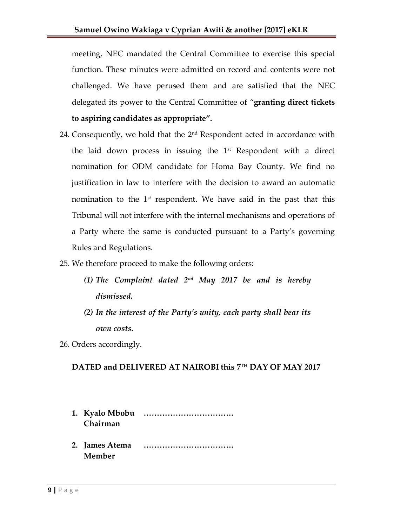meeting, NEC mandated the Central Committee to exercise this special function. These minutes were admitted on record and contents were not challenged. We have perused them and are satisfied that the NEC delegated its power to the Central Committee of '**granting direct tickets to aspiring candidates as appropriate".**

- 24. Consequently, we hold that the  $2<sup>nd</sup>$  Respondent acted in accordance with the laid down process in issuing the  $1<sup>st</sup>$  Respondent with a direct nomination for ODM candidate for Homa Bay County. We find no justification in law to interfere with the decision to award an automatic nomination to the  $1<sup>st</sup>$  respondent. We have said in the past that this Tribunal will not interfere with the internal mechanisms and operations of a Party where the same is conducted pursuant to a Party's governing Rules and Regulations.
- 25. We therefore proceed to make the following orders:
	- *(1) The Complaint dated 2nd May 2017 be and is hereby dismissed.*
	- *(2) In the interest of the Party's unity, each party shall bear its own costs.*
- 26. Orders accordingly.

## **DATED and DELIVERED AT NAIROBI this 7 TH DAY OF MAY 2017**

- **1. Kyalo Mbobu ……………………………. Chairman**
- **2. James Atema ……………………………. Member**